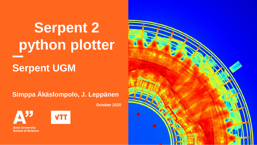# **Serpent 2 python plotter**

#### **Serpent UGM**

**Simppa Äkäslompolo, J. Leppänen**

**October 2020**

**Aalto University School of Science** 





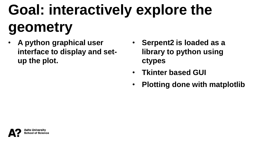# **Goal: interactively explore the geometry**

- **A python graphical user interface to display and setup the plot.**
- **Serpent2 is loaded as a library to python using ctypes**
- **Tkinter based GUI**
- **Plotting done with matplotlib**

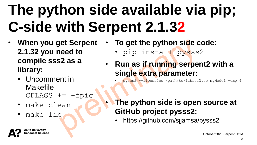### **The python side available via pip; C-side with Serpent 2.1.32**

- **When you get Serpent 2.1.32 you need to compile sss2 as a library:**
	- Uncomment in Makefile  $CFLAGS += -fpic$
	- make clean
	- make lib
- **To get the python side code:**
	- pip install pysss2
- **Run as if running serpent2 with a single extra parameter:**

• pysss2 --libsss2so /path/to/libsss2.so myModel -omp 4

- **The python side is open source at GitHub project pysss2:**
- https://github.com/sjjamsa/pysss2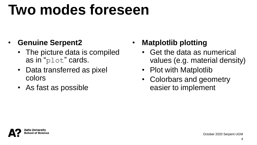### **Two modes foreseen**

#### • **Genuine Serpent2**

- The picture data is compiled as in "plot" cards.
- Data transferred as pixel colors
- As fast as possible

#### • **Matplotlib plotting**

- Get the data as numerical values (e.g. material density)
- Plot with Matplotlib
- Colorbars and geometry easier to implement